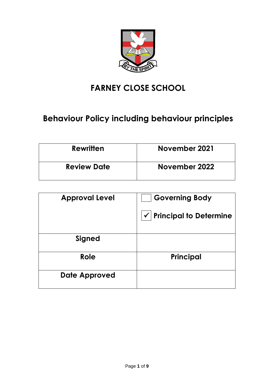

# **FARNEY CLOSE SCHOOL**

# **Behaviour Policy including behaviour principles**

| <b>Rewritten</b>   | November 2021 |
|--------------------|---------------|
| <b>Review Date</b> | November 2022 |

| <b>Approval Level</b> | <b>Governing Body</b>                         |
|-----------------------|-----------------------------------------------|
|                       | <b>Principal to Determine</b><br>$\checkmark$ |
| <b>Signed</b>         |                                               |
| Role                  | Principal                                     |
| Date Approved         |                                               |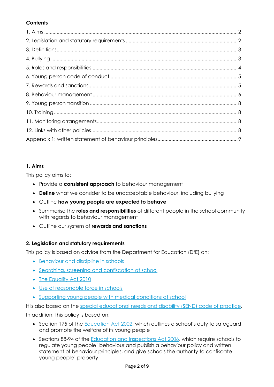# **Contents**

# **1. Aims**

This policy aims to:

- Provide a **consistent approach** to behaviour management
- **Define** what we consider to be unacceptable behaviour, including bullying
- Outline **how young people are expected to behave**
- Summarise the **roles and responsibilities** of different people in the school community with regards to behaviour management
- Outline our system of **rewards and sanctions**

# **2. Legislation and statutory requirements**

This policy is based on advice from the Department for Education (DfE) on:

- [Behaviour and discipline in schools](https://www.gov.uk/government/publications/behaviour-and-discipline-in-schools)
- [Searching, screening and confiscation at school](https://www.gov.uk/government/publications/searching-screening-and-confiscation)
- [The Equality Act 2010](https://www.gov.uk/government/publications/equality-act-2010-advice-for-schools)
- [Use of reasonable force](https://www.gov.uk/government/publications/use-of-reasonable-force-in-schools) in schools
- Supporting young people [with medical conditions at school](https://www.gov.uk/government/publications/supporting-pupils-at-school-with-medical-conditions--3)

It is also based on the [special educational needs and disability \(SEND\) code of practice.](https://www.gov.uk/government/publications/send-code-of-practice-0-to-25) In addition, this policy is based on:

- Section 175 of the **Education Act 2002**, which outlines a school's duty to safeguard and promote the welfare of its young people
- Sections 88-94 of the [Education and Inspections Act 2006,](http://www.legislation.gov.uk/ukpga/2006/40/section/88) which require schools to regulate young people' behaviour and publish a behaviour policy and written statement of behaviour principles, and give schools the authority to confiscate young people' property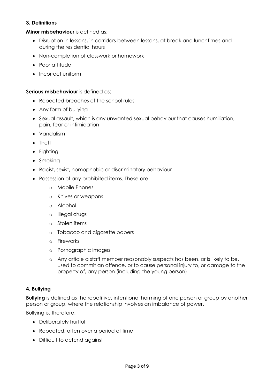## **3. Definitions**

**Minor misbehaviour** is defined as:

- Disruption in lessons, in corridors between lessons, at break and lunchtimes and during the residential hours
- Non-completion of classwork or homework
- Poor attitude
- Incorrect uniform

#### **Serious misbehaviour** is defined as:

- Repeated breaches of the school rules
- Any form of bullying
- Sexual assault, which is any unwanted sexual behaviour that causes humiliation, pain, fear or intimidation
- Vandalism
- Theft
- Fighting
- Smoking
- Racist, sexist, homophobic or discriminatory behaviour
- Possession of any prohibited items. These are:
	- o Mobile Phones
	- o Knives or weapons
	- o Alcohol
	- o Illegal drugs
	- o Stolen items
	- o Tobacco and cigarette papers
	- o Fireworks
	- o Pornographic images
	- o Any article a staff member reasonably suspects has been, or is likely to be, used to commit an offence, or to cause personal injury to, or damage to the property of, any person (including the young person)

## **4. Bullying**

**Bullying** is defined as the repetitive, intentional harming of one person or group by another person or group, where the relationship involves an imbalance of power.

Bullying is, therefore:

- Deliberately hurtful
- Repeated, often over a period of time
- Difficult to defend against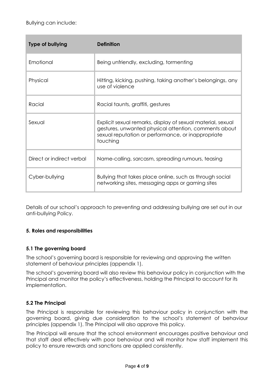| <b>Type of bullying</b>   | Definition                                                                                                                                                                             |
|---------------------------|----------------------------------------------------------------------------------------------------------------------------------------------------------------------------------------|
| Emotional                 | Being unfriendly, excluding, formenting                                                                                                                                                |
| Physical                  | Hitting, kicking, pushing, taking another's belongings, any<br>use of violence                                                                                                         |
| Racial                    | Racial taunts, graffiti, gestures                                                                                                                                                      |
| Sexual                    | Explicit sexual remarks, display of sexual material, sexual<br>gestures, unwanted physical attention, comments about<br>sexual reputation or performance, or inappropriate<br>touching |
| Direct or indirect verbal | Name-calling, sarcasm, spreading rumours, teasing                                                                                                                                      |
| Cyber-bullying            | Bullying that takes place online, such as through social<br>networking sites, messaging apps or gaming sites                                                                           |

Details of our school's approach to preventing and addressing bullying are set out in our anti-bullying Policy.

## **5. Roles and responsibilities**

## **5.1 The governing board**

The school's governing board is responsible for reviewing and approving the written statement of behaviour principles (appendix 1).

The school's governing board will also review this behaviour policy in conjunction with the Principal and monitor the policy's effectiveness, holding the Principal to account for its implementation.

## **5.2 The Principal**

The Principal is responsible for reviewing this behaviour policy in conjunction with the governing board, giving due consideration to the school's statement of behaviour principles (appendix 1). The Principal will also approve this policy.

The Principal will ensure that the school environment encourages positive behaviour and that staff deal effectively with poor behaviour and will monitor how staff implement this policy to ensure rewards and sanctions are applied consistently.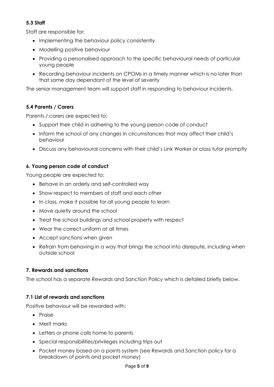## **5.3 Staff**

Staff are responsible for:

- Implementing the behaviour policy consistently
- Modelling positive behaviour
- Providing a personalised approach to the specific behavioural needs of particular young people
- Recording behaviour incidents on CPOMs in a timely manner which is no later than that same day dependant of the level of severity

The senior management team will support staff in responding to behaviour incidents.

## **5.4 Parents / Carers**

Parents / carers are expected to:

- Support their child in adhering to the young person code of conduct
- Inform the school of any changes in circumstances that may affect their child's behaviour
- Discuss any behavioural concerns with their child's Link Worker or class tutor promptly

## **6. Young person code of conduct**

Young people are expected to:

- Behave in an orderly and self-controlled way
- Show respect to members of staff and each other
- In class, make it possible for all young people to learn
- Move quietly around the school
- Treat the school buildings and school property with respect
- Wear the correct uniform at all times
- Accept sanctions when given
- Refrain from behaving in a way that brings the school into disrepute, including when outside school

## **7. Rewards and sanctions**

The school has a separate Rewards and Sanction Policy which is detailed briefly below.

## **7.1 List of rewards and sanctions**

Positive behaviour will be rewarded with:

- Praise
- Merit marks
- Letters or phone calls home to parents
- Special responsibilities/privileges including trips out
- Pocket money based on a points system (see Rewards and Sanction policy for a breakdown of points and pocket money)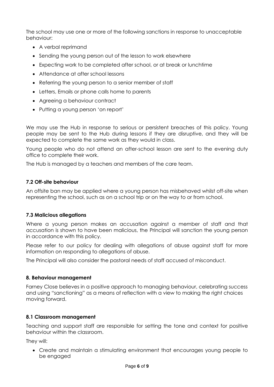The school may use one or more of the following sanctions in response to unacceptable behaviour:

- A verbal reprimand
- Sending the young person out of the lesson to work elsewhere
- Expecting work to be completed after school, or at break or lunchtime
- Attendance at after school lessons
- Referring the young person to a senior member of staff
- Letters, Emails or phone calls home to parents
- Agreeing a behaviour contract
- Putting a young person 'on report'

We may use the Hub in response to serious or persistent breaches of this policy. Young people may be sent to the Hub during lessons if they are disruptive, and they will be expected to complete the same work as they would in class.

Young people who do not attend an after-school lesson are sent to the evening duty office to complete their work.

The Hub is managed by a teachers and members of the care team.

## **7.2 Off-site behaviour**

An offsite ban may be applied where a young person has misbehaved whilst off-site when representing the school, such as on a school trip or on the way to or from school.

## **7.3 Malicious allegations**

Where a young person makes an accusation against a member of staff and that accusation is shown to have been malicious, the Principal will sanction the young person in accordance with this policy.

Please refer to our policy for dealing with allegations of abuse against staff for more information on responding to allegations of abuse.

The Principal will also consider the pastoral needs of staff accused of misconduct.

## **8. Behaviour management**

Farney Close believes in a positive approach to managing behaviour, celebrating success and using "sanctioning" as a means of reflection with a view to making the right choices moving forward.

## **8.1 Classroom management**

Teaching and support staff are responsible for setting the tone and context for positive behaviour within the classroom.

They will:

• Create and maintain a stimulating environment that encourages young people to be engaged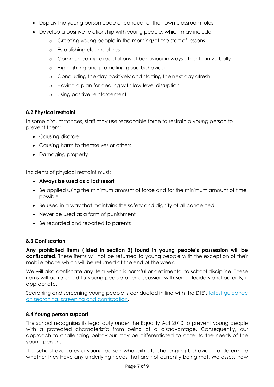- Display the young person code of conduct or their own classroom rules
- Develop a positive relationship with young people, which may include:
	- o Greeting young people in the morning/at the start of lessons
	- o Establishing clear routines
	- o Communicating expectations of behaviour in ways other than verbally
	- o Highlighting and promoting good behaviour
	- o Concluding the day positively and starting the next day afresh
	- o Having a plan for dealing with low-level disruption
	- o Using positive reinforcement

## **8.2 Physical restraint**

In some circumstances, staff may use reasonable force to restrain a young person to prevent them:

- Causing disorder
- Causing harm to themselves or others
- Damaging property

Incidents of physical restraint must:

- **Always be used as a last resort**
- Be applied using the minimum amount of force and for the minimum amount of time possible
- Be used in a way that maintains the safety and dignity of all concerned
- Never be used as a form of punishment
- Be recorded and reported to parents

## **8.3 Confiscation**

**Any prohibited items (listed in section 3) found in young people's possession will be confiscated.** These items will not be returned to young people with the exception of their mobile phone which will be returned at the end of the week.

We will also confiscate any item which is harmful or detrimental to school discipline. These items will be returned to young people after discussion with senior leaders and parents, if appropriate.

Searching and screening young people is conducted in line with the DfE's latest guidance [on searching, screening and confiscation.](https://www.gov.uk/government/publications/searching-screening-and-confiscation)

## **8.4 Young person support**

The school recognises its legal duty under the Equality Act 2010 to prevent young people with a protected characteristic from being at a disadvantage. Consequently, our approach to challenging behaviour may be differentiated to cater to the needs of the young person.

The school evaluates a young person who exhibits challenging behaviour to determine whether they have any underlying needs that are not currently being met. We assess how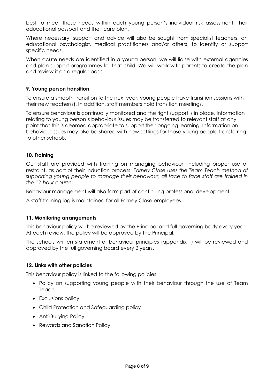best to meet these needs within each young person's individual risk assessment, their educational passport and their care plan.

Where necessary, support and advice will also be sought from specialist teachers, an educational psychologist, medical practitioners and/or others, to identify or support specific needs.

When acute needs are identified in a young person, we will liaise with external agencies and plan support programmes for that child. We will work with parents to create the plan and review it on a regular basis.

## **9. Young person transition**

To ensure a smooth transition to the next year, young people have transition sessions with their new teacher(s). In addition, staff members hold transition meetings.

To ensure behaviour is continually monitored and the right support is in place, information relating to young person's behaviour issues may be transferred to relevant staff at any point that this is deemed appropriate to support their ongoing learning. Information on behaviour issues may also be shared with new settings for those young people transferring to other schools.

## **10. Training**

Our staff are provided with training on managing behaviour, including proper use of restraint, as part of their induction process. *Farney Close uses the Team Teach method of supporting young people to manage their behaviour, all face to face staff are trained in the 12-hour course.*

Behaviour management will also form part of continuing professional development.

A staff training log is maintained for all Farney Close employees.

## **11. Monitoring arrangements**

This behaviour policy will be reviewed by the Principal and full governing body every year. At each review, the policy will be approved by the Principal.

The schools written statement of behaviour principles (appendix 1) will be reviewed and approved by the full governing board every 2 years.

## **12. Links with other policies**

This behaviour policy is linked to the following policies:

- Policy on supporting young people with their behaviour through the use of Team **Teach**
- Exclusions policy
- Child Protection and Safeguarding policy
- Anti-Bullying Policy
- Rewards and Sanction Policy